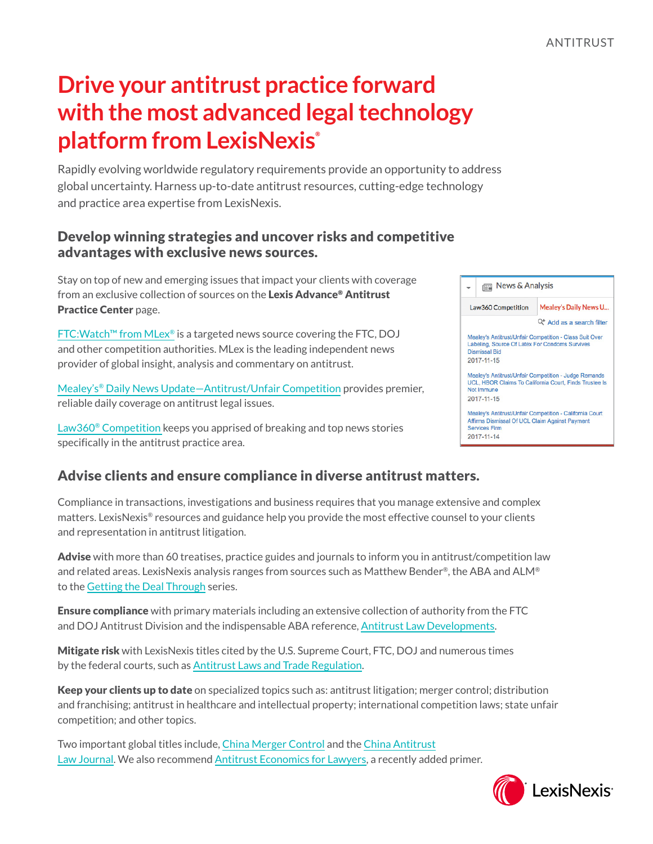# **Drive your antitrust practice forward with the most advanced legal technology platform from LexisNexis®**

Rapidly evolving worldwide regulatory requirements provide an opportunity to address global uncertainty. Harness up-to-date antitrust resources, cutting-edge technology and practice area expertise from LexisNexis.

#### Develop winning strategies and uncover risks and competitive advantages with exclusive news sources.

Stay on top of new and emerging issues that impact your clients with coverage from an exclusive collection of sources on the Lexis Advance® Antitrust Practice Center page.

FTC:Watch[™ from MLex](http://ftcwatch.com/)® is a targeted news source covering the FTC, DOJ and other competition authorities. MLex is the leading independent news provider of global insight, analysis and commentary on antitrust.

[Mealey's® Daily News Update—Antitrust/Unfair Competition](https://advance.lexis.com/api/permalink/b1b42130-3004-4c94-8606-319146c72996/?context=1000516) provides premier, reliable daily coverage on antitrust legal issues.

[Law360® Competition](https://advance.lexis.com/api/permalink/1bc720bb-3e7c-4797-bfe2-aff75ffa4f5c/?context=1000516) keeps you apprised of breaking and top news stories specifically in the antitrust practice area.



#### Advise clients and ensure compliance in diverse antitrust matters.

Compliance in transactions, investigations and business requires that you manage extensive and complex matters. LexisNexis® resources and guidance help you provide the most effective counsel to your clients and representation in antitrust litigation.

Advise with more than 60 treatises, practice guides and journals to inform you in antitrust/competition law and related areas. LexisNexis analysis ranges from sources such as Matthew Bender®, the ABA and ALM® to the [Getting the Deal Through](https://advance.lexis.com/api/permalink/2c8be8d9-af20-4417-8f72-c05eb93b58d6/?context=1000516) series.

Ensure compliance with primary materials including an extensive collection of authority from the FTC and DOJ Antitrust Division and the indispensable ABA reference, [Antitrust Law Developments.](https://advance.lexis.com/api/permalink/e6a98198-6b04-4f66-a2f8-fe00e8e18167/?context=1000516)

Mitigate risk with LexisNexis titles cited by the U.S. Supreme Court, FTC, DOJ and numerous times by the federal courts, such as [Antitrust Laws and Trade Regulation](https://advance.lexis.com/api/permalink/8022c900-1a7b-4031-bcd8-79ae06bf5069/?context=1000516).

Keep your clients up to date on specialized topics such as: antitrust litigation; merger control; distribution and franchising; antitrust in healthcare and intellectual property; international competition laws; state unfair competition; and other topics.

Two important global titles include, [China Merger Control](https://advance.lexis.com/api/permalink/29d1ff65-e249-4b66-9484-cf91ab028cb7/?context=1000516) and the [China Antitrust](https://advance.lexis.com/api/permalink/ecdbe856-f118-4e64-9c8d-1cda9463a0c0/?context=1000516) [Law Journal](https://advance.lexis.com/api/permalink/ecdbe856-f118-4e64-9c8d-1cda9463a0c0/?context=1000516). We also recommend [Antitrust Economics for Lawyers,](https://advance.lexis.com/api/permalink/88efdb62-b6af-4302-88ba-1587e41f1d55/?context=1000516) a recently added primer.